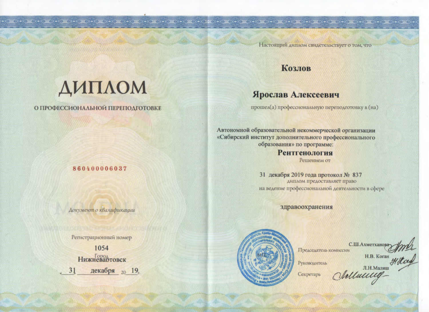Настоящий диплом свидетельствует о том, что

прошел(а) профессиональную переподготовку в (на)

Решением от

диплом предоставляет право на ведение профессиональной деятельности в сфере

31 декабря 2019 года протокол № 837

здравоохранения

**Козлов** 

Ярослав Алексеевич

Автономной образовательной некоммерческой организации «Сибирский институт дополнительного профессионального образования» по программе:

**Рентгенология** 

## ДИПЛОМ

## О ПРОФЕССИОНАЛЬНОЙ ПЕРЕПОДГОТОВКЕ

## 860400006037

Документ о квалификации

Регистрационный номер

1054 **Нижневартовск** 31 декабря 20 19



С.Ш.Ахметханов Председатель комиссии

Руководитель

Секретарь

Vellacure He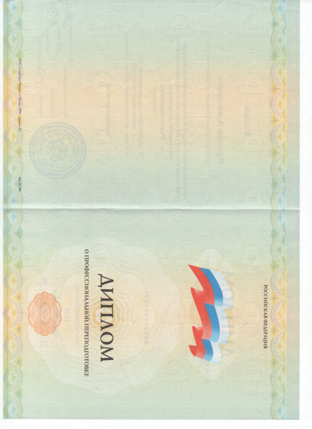

. OOO . CargBourg, Moonto, c. Mecana, 2019 - , sponens - B-.

San, Nr 180,

**AMIMOM** 

РОССИЙСКАЯ ФЕДЕРАЦИЯ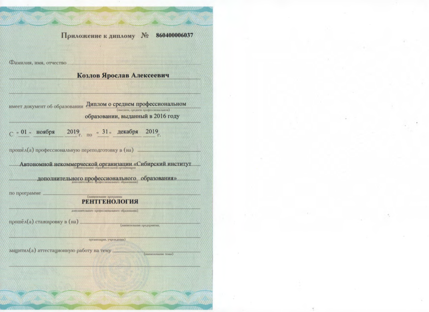|                                                  | Приложение к диплому<br>No 860400006037                                                  |  |
|--------------------------------------------------|------------------------------------------------------------------------------------------|--|
| Фамилия, имя, отчество                           |                                                                                          |  |
|                                                  | Козлов Ярослав Алексеевич                                                                |  |
|                                                  |                                                                                          |  |
| имеет документ об образовании                    | Диплом о среднем профессиональном                                                        |  |
|                                                  | (высшем, среднем профессиональном)<br>образовании, выданный в 2016 году                  |  |
| - «01 « ноября                                   | 2019 <sub>г. по</sub> "31" декабря<br>$2019_{r.}$                                        |  |
| прошёл(а) профессиональную переподготовку в (на) | Автономной некоммерческой организации «Сибирский институт                                |  |
| по программе                                     | дополнительного профессионального образования»<br>(наименование программен<br>тгенология |  |
| прошёл(а) стажировку в (на)                      | дополнительного профессионального образования).<br>(наименование предприятия,            |  |
| защитил(а) аттестационную работу на тему.        | организации, учреждения)<br>(напменование темы).                                         |  |
|                                                  |                                                                                          |  |